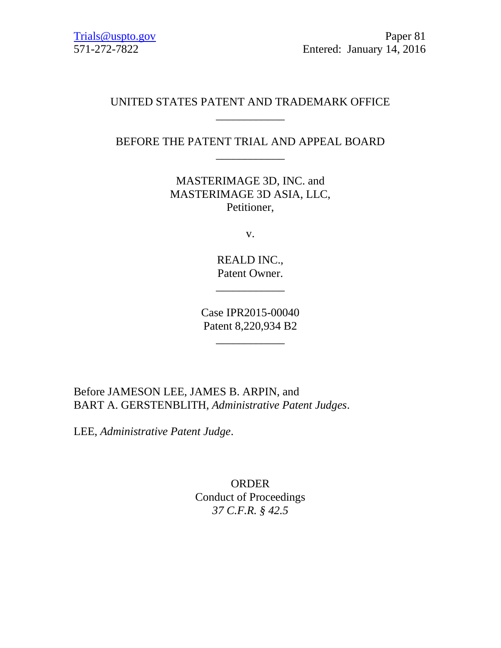# UNITED STATES PATENT AND TRADEMARK OFFICE \_\_\_\_\_\_\_\_\_\_\_\_

# BEFORE THE PATENT TRIAL AND APPEAL BOARD \_\_\_\_\_\_\_\_\_\_\_\_

MASTERIMAGE 3D, INC. and MASTERIMAGE 3D ASIA, LLC, Petitioner,

v.

REALD INC., Patent Owner.

\_\_\_\_\_\_\_\_\_\_\_\_

Case IPR2015-00040 Patent 8,220,934 B2

\_\_\_\_\_\_\_\_\_\_\_\_

Before JAMESON LEE, JAMES B. ARPIN, and BART A. GERSTENBLITH, *Administrative Patent Judges*.

LEE, *Administrative Patent Judge*.

ORDER Conduct of Proceedings *37 C.F.R. § 42.5*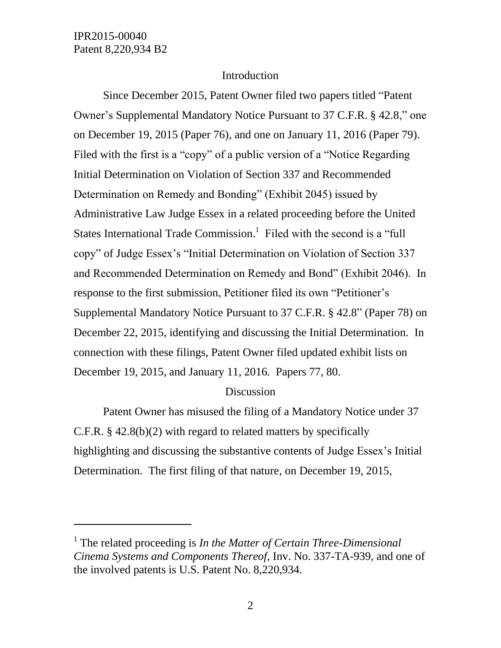l

## Introduction

Since December 2015, Patent Owner filed two papers titled "Patent Owner's Supplemental Mandatory Notice Pursuant to 37 C.F.R. § 42.8," one on December 19, 2015 (Paper 76), and one on January 11, 2016 (Paper 79). Filed with the first is a "copy" of a public version of a "Notice Regarding Initial Determination on Violation of Section 337 and Recommended Determination on Remedy and Bonding" (Exhibit 2045) issued by Administrative Law Judge Essex in a related proceeding before the United States International Trade Commission.<sup>1</sup> Filed with the second is a "full copy" of Judge Essex's "Initial Determination on Violation of Section 337 and Recommended Determination on Remedy and Bond" (Exhibit 2046). In response to the first submission, Petitioner filed its own "Petitioner's Supplemental Mandatory Notice Pursuant to 37 C.F.R. § 42.8" (Paper 78) on December 22, 2015, identifying and discussing the Initial Determination. In connection with these filings, Patent Owner filed updated exhibit lists on December 19, 2015, and January 11, 2016. Papers 77, 80.

#### Discussion

Patent Owner has misused the filing of a Mandatory Notice under 37 C.F.R. § 42.8(b)(2) with regard to related matters by specifically highlighting and discussing the substantive contents of Judge Essex's Initial Determination. The first filing of that nature, on December 19, 2015,

<sup>&</sup>lt;sup>1</sup> The related proceeding is *In the Matter of Certain Three-Dimensional Cinema Systems and Components Thereof*, Inv. No. 337-TA-939, and one of the involved patents is U.S. Patent No. 8,220,934.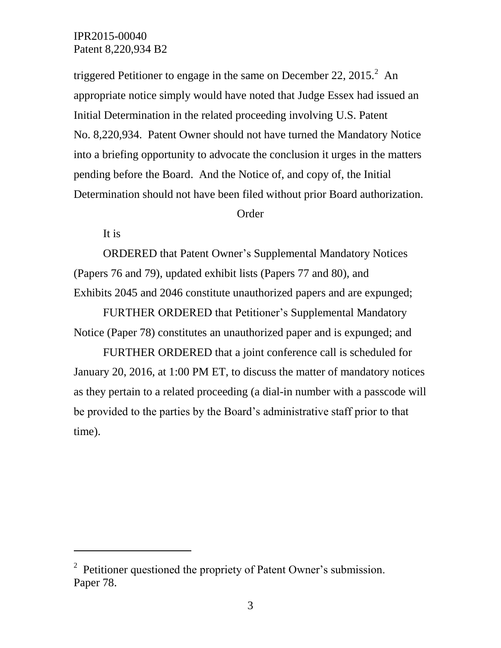triggered Petitioner to engage in the same on December 22,  $2015<sup>2</sup>$  An appropriate notice simply would have noted that Judge Essex had issued an Initial Determination in the related proceeding involving U.S. Patent No. 8,220,934. Patent Owner should not have turned the Mandatory Notice into a briefing opportunity to advocate the conclusion it urges in the matters pending before the Board. And the Notice of, and copy of, the Initial Determination should not have been filed without prior Board authorization.

#### Order

It is

l

ORDERED that Patent Owner's Supplemental Mandatory Notices (Papers 76 and 79), updated exhibit lists (Papers 77 and 80), and Exhibits 2045 and 2046 constitute unauthorized papers and are expunged;

FURTHER ORDERED that Petitioner's Supplemental Mandatory Notice (Paper 78) constitutes an unauthorized paper and is expunged; and

FURTHER ORDERED that a joint conference call is scheduled for January 20, 2016, at 1:00 PM ET, to discuss the matter of mandatory notices as they pertain to a related proceeding (a dial-in number with a passcode will be provided to the parties by the Board's administrative staff prior to that time).

 $2^2$  Petitioner questioned the propriety of Patent Owner's submission. Paper 78.